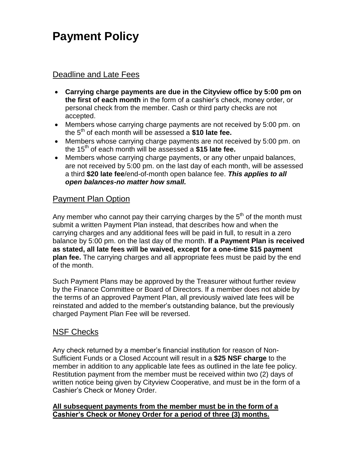# **Payment Policy**

### Deadline and Late Fees

- **Carrying charge payments are due in the Cityview office by 5:00 pm on the first of each month** in the form of a cashier's check, money order, or personal check from the member. Cash or third party checks are not accepted.
- Members whose carrying charge payments are not received by 5:00 pm. on the 5th of each month will be assessed a **\$10 late fee.**
- Members whose carrying charge payments are not received by 5:00 pm. on the 15th of each month will be assessed a **\$15 late fee.**
- Members whose carrying charge payments, or any other unpaid balances, are not received by 5:00 pm. on the last day of each month, will be assessed a third **\$20 late fee**/end-of-month open balance fee. *This applies to all open balances-no matter how small.*

### Payment Plan Option

Any member who cannot pay their carrying charges by the  $5<sup>th</sup>$  of the month must submit a written Payment Plan instead, that describes how and when the carrying charges and any additional fees will be paid in full, to result in a zero balance by 5:00 pm. on the last day of the month. **If a Payment Plan is received as stated, all late fees will be waived, except for a one-time \$15 payment plan fee.** The carrying charges and all appropriate fees must be paid by the end of the month.

Such Payment Plans may be approved by the Treasurer without further review by the Finance Committee or Board of Directors. If a member does not abide by the terms of an approved Payment Plan, all previously waived late fees will be reinstated and added to the member's outstanding balance, but the previously charged Payment Plan Fee will be reversed.

#### NSF Checks

Any check returned by a member's financial institution for reason of Non-Sufficient Funds or a Closed Account will result in a **\$25 NSF charge** to the member in addition to any applicable late fees as outlined in the late fee policy. Restitution payment from the member must be received within two (2) days of written notice being given by Cityview Cooperative, and must be in the form of a Cashier's Check or Money Order.

#### **All subsequent payments from the member must be in the form of a Cashier's Check or Money Order for a period of three (3) months.**